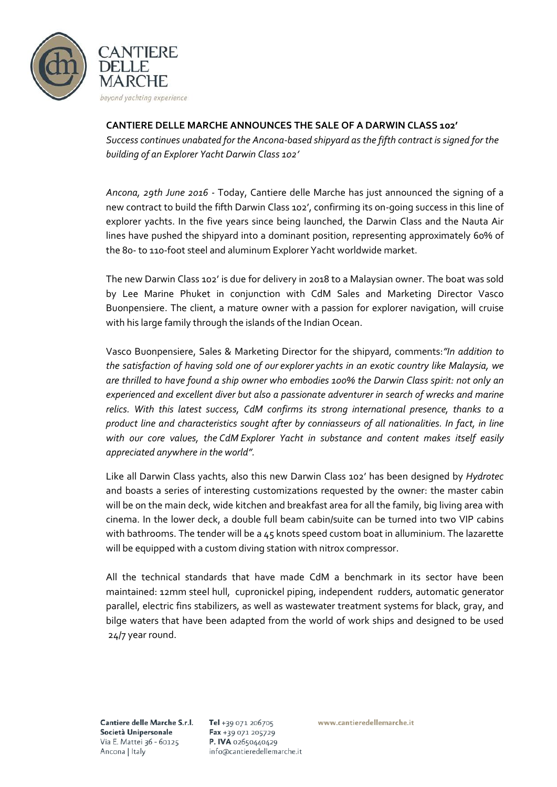

## **CANTIERE DELLE MARCHE ANNOUNCES THE SALE OF A DARWIN CLASS 102'**

*Success continues unabated for the Ancona-based shipyard as the fifth contract is signed for the building of an Explorer Yacht Darwin Class 102'*

*Ancona, 29th June 2016 -* Today, Cantiere delle Marche has just announced the signing of a new contract to build the fifth Darwin Class 102', confirming its on-going success in this line of explorer yachts. In the five years since being launched, the Darwin Class and the Nauta Air lines have pushed the shipyard into a dominant position, representing approximately 60% of the 80- to 110-foot steel and aluminum Explorer Yacht worldwide market.

The new Darwin Class 102' is due for delivery in 2018 to a Malaysian owner. The boat was sold by Lee Marine Phuket in conjunction with CdM Sales and Marketing Director Vasco Buonpensiere. The client, a mature owner with a passion for explorer navigation, will cruise with his large family through the islands of the Indian Ocean.

Vasco Buonpensiere, Sales & Marketing Director for the shipyard, comments:*"In addition to the satisfaction of having sold one of our explorer yachts in an exotic country like Malaysia, we are thrilled to have found a ship owner who embodies 100% the Darwin Class spirit: not only an experienced and excellent diver but also a passionate adventurer in search of wrecks and marine relics. With this latest success, CdM confirms its strong international presence, thanks to a product line and characteristics sought after by conniasseurs of all nationalities. In fact, in line with our core values, the CdM Explorer Yacht in substance and content makes itself easily appreciated anywhere in the world".*

Like all Darwin Class yachts, also this new Darwin Class 102' has been designed by *Hydrotec* and boasts a series of interesting customizations requested by the owner: the master cabin will be on the main deck, wide kitchen and breakfast area for all the family, big living area with cinema. In the lower deck, a double full beam cabin/suite can be turned into two VIP cabins with bathrooms. The tender will be a 45 knots speed custom boat in alluminium. The lazarette will be equipped with a custom diving station with nitrox compressor.

All the technical standards that have made CdM a benchmark in its sector have been maintained: 12mm steel hull, cupronickel piping, independent rudders, automatic generator parallel, electric fins stabilizers, as well as wastewater treatment systems for black, gray, and bilge waters that have been adapted from the world of work ships and designed to be used 24/7 year round.

Cantiere delle Marche S.r.l. Società Unipersonale Via E. Mattei 36 - 60125 Ancona | Italy

Tel +39 071 206705 Fax +39 071 205729 P. IVA 02650440429 info@cantieredellemarche.it www.cantieredellemarche.it